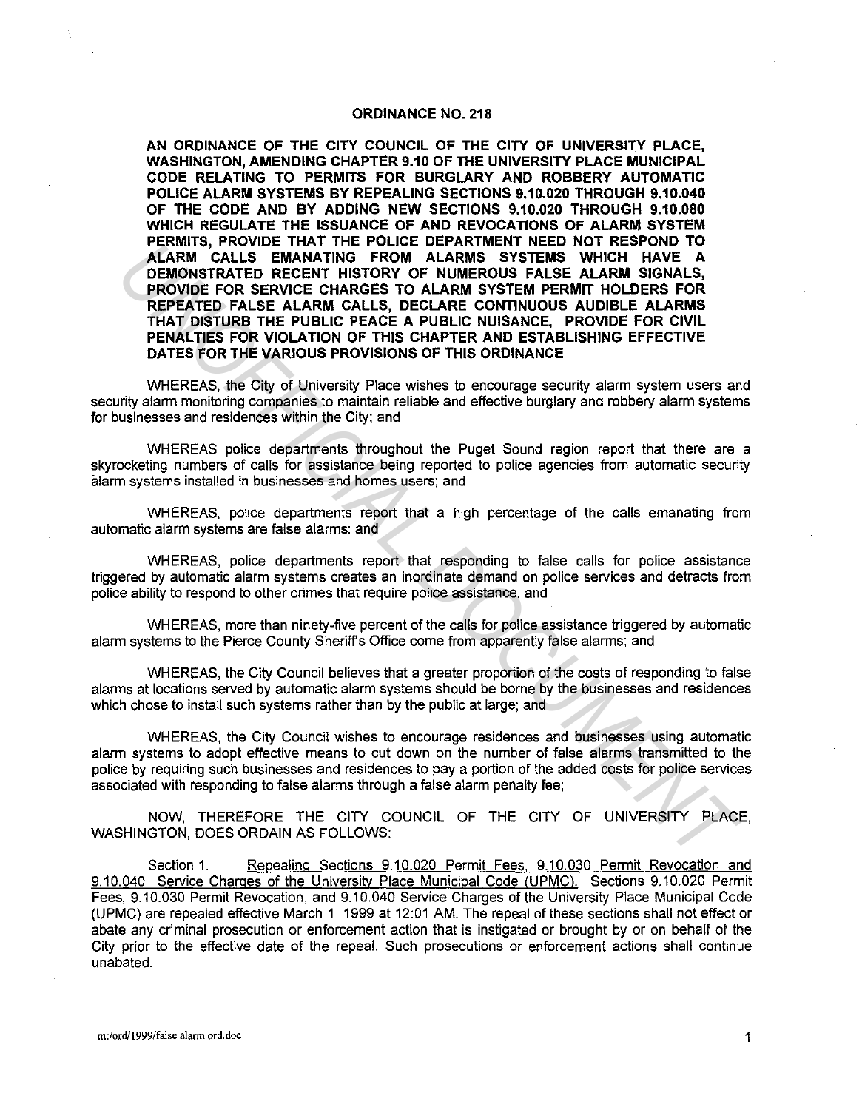## **ORDINANCE NO. 218**

**AN ORDINANCE OF THE CITY COUNCIL OF THE CITY OF UNIVERSITY PLACE, WASHINGTON, AMENDING CHAPTER 9.10 OF THE UNIVERSITY PLACE MUNICIPAL CODE RELATING TO PERMITS FOR BURGLARY AND ROBBERY AUTOMATIC POLICE ALARM SYSTEMS BY REPEALING SECTIONS 9.10.020 THROUGH 9.10.040 OF THE CODE AND BY ADDING NEW SECTIONS 9.10.020 THROUGH 9.10.080 WHICH REGULATE THE ISSUANCE OF AND REVOCATIONS OF ALARM SYSTEM PERMITS, PROVIDE THAT THE POLICE DEPARTMENT NEED NOT RESPOND TO ALARM CALLS EMANATING FROM ALARMS SYSTEMS WHICH HAVE A DEMONSTRATED RECENT HISTORY OF NUMEROUS FALSE ALARM SIGNALS, PROVIDE FOR SERVICE CHARGES TO ALARM SYSTEM PERMIT HOLDERS FOR REPEATED FALSE ALARM CALLS, DECLARE CONTINUOUS AUDIBLE ALARMS THAT DISTURB THE PUBLIC PEACE A PUBLIC NUISANCE, PROVIDE FOR CIVIL PENALTIES FOR VIOLATION OF THIS CHAPTER AND ESTABLISHING EFFECTIVE DATES FOR THE VARIOUS PROVISIONS OF THIS ORDINANCE PERIMITS., THOUTHE TRANS THE PULCE DEPARTMENT REED NOT RESPONSE.** NAMELY A LARM CALLS EMANATING FROM ALARMS SYSTEMS WHICH HAVE A A LARM SCHARE A LARM STREMS WHICH HERE IN EVALUATED FROM SERVICE CHARGES TO ALARM SYSTEM FRO

WHEREAS, the City of University Place wishes to encourage security alarm system users and security alarm monitoring companies to maintain reliable and effective burglary and robbery alarm systems for businesses and residences within the City; and

WHEREAS police departments throughout the Puget Sound region report that there are a skyrocketing numbers of calls for assistance being reported to police agencies from automatic security alarm systems installed in businesses and homes users; and

WHEREAS, police departments report that a high percentage of the calls emanating from automatic alarm systems are false alarms: and

WHEREAS, police departments report that responding to false calls for police assistance triggered by automatic alarm systems creates an inordinate demand on police services and detracts from police ability to respond to other crimes that require police assistance; and

WHEREAS, more than ninety-five percent of the calls for police assistance triggered by automatic alarm systems to the Pierce County Sheriffs Office come from apparently false alarms; and

WHEREAS, the City Council believes that a greater proportion of the costs of responding to false alarms at locations served by automatic alarm systems should be borne by the businesses and residences which chose to install such systems rather than by the public at large; and

WHEREAS, the City Council wishes to encourage residences and businesses using automatic alarm systems to adopt effective means to cut down on the number of false alarms transmitted to the police by requiring such businesses and residences to pay a portion of the added costs for police services associated with responding to false alarms through a false alarm penalty fee;

NOW, THEREFORE THE CITY COUNCIL OF THE CITY OF UNIVERSITY PLACE, WASHINGTON, DOES ORDAIN AS FOLLOWS:

Section 1. Repealing Sections 9.10.020 Permit Fees, 9.10.030 Permit Revocation and 9.10.040 Service Charges of the University Place Municipal Code (UPMC). Sections 9.10.020 Permit Fees, 9.10.030 Permit Revocation, and 9.10.040 Service Charges of the University Place Municipal Code (UPMC) are repealed effective March 1, 1999 at 12:01 AM. The repeal of these sections shall not effect or abate any criminal prosecution or enforcement action that is instigated or brought by or on behalf of the City prior to the effective date of the repeal. Such prosecutions or enforcement actions shall continue unabated.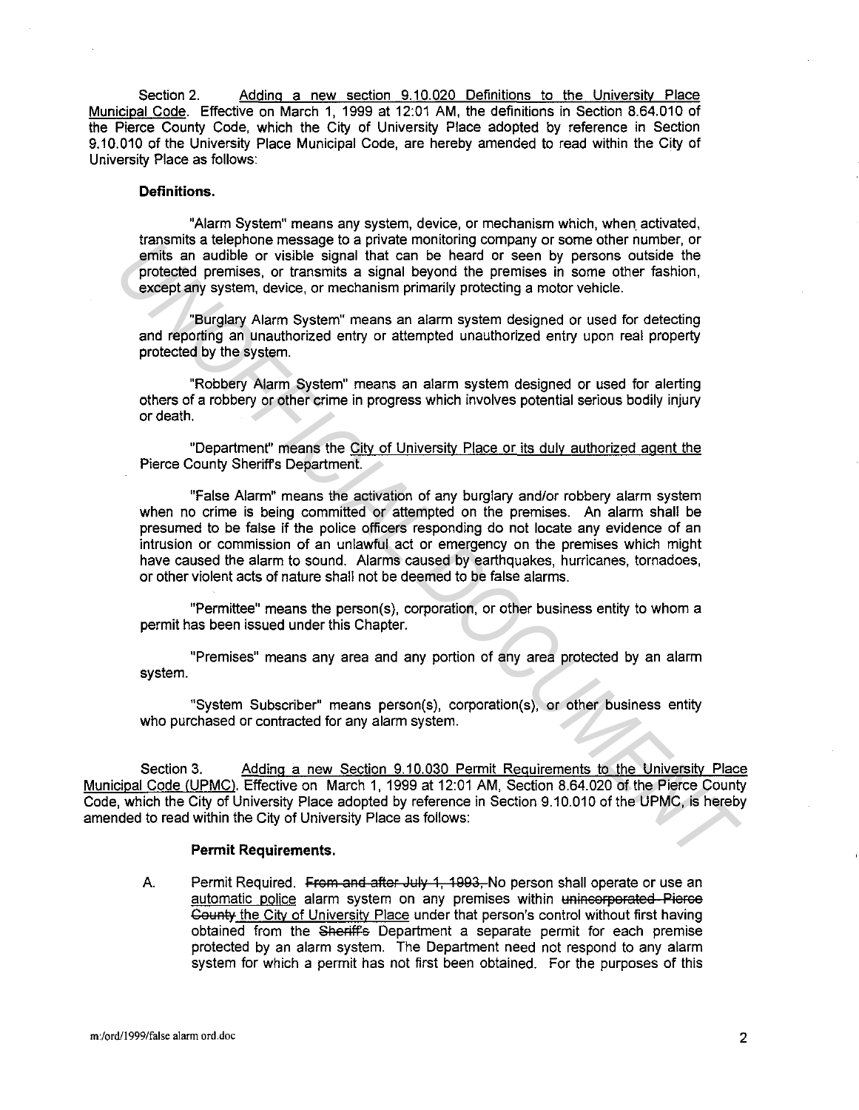Section 2. Adding a new section 9.10.020 Definitions to the University Place Municipal Code. Effective on March 1, 1999 at 12:01 AM, the definitions in Section 8.64.010 of the Pierce County Code, which the City of University Place adopted by reference in Section 9.10.010 of the University Place Municipal Code, are hereby amended to read within the City of University Place as follows:

# **Definitions.**

"Alarm System" means any system, device, or mechanism which, when. activated, transmits a telephone message to a private monitoring company or some other number, or emits an audible or visible signal that can be heard or seen by persons outside the protected premises, or transmits a signal beyond the premises in some other fashion, except any system, device, or mechanism primarily protecting a motor vehicle.

"Burglary Alarm System" means an alarm system designed or used for detecting and reporting an unauthorized entry or attempted unauthorized entry upon real property protected by the system.

"Robbery Alarm System" means an alarm system designed or used for alerting others of a robbery or other crime in progress which involves potential serious bodily injury or death.

"Department" means the City of University Place or its duly authorized agent the Pierce County Sheriffs Department.

"False Alarm" means the activation of any burglary and/or robbery alarm system when no crime is being committed or attempted on the premises. An alarm shall be presumed to be false if the police officers responding do not locate any evidence of an intrusion or commission of an unlawful act or emergency on the premises which might have caused the alarm to sound. Alarms caused by earthquakes, hurricanes, tornadoes, or other violent acts of nature shall not be deemed to be false alarms. entils as unkerious entrassing to a private informal promptom profits an addition of the protect permisses or transmission and be precise the protect permisses in some other fastion, protecting any stem, device, or mechani

"Permittee" means the person(s), corporation, or other business entity to whom a permit has been issued under this Chapter.

"Premises" means any area and any portion of any area protected by an alarm system.

"System Subscriber" means person(s}, corporation(s), or other business entity who purchased or contracted for any alarm system.

Section 3. Adding a new Section 9.10.030 Permit Requirements to the University Place Municipal Code (UPMC). Effective on March 1, 1999 at 12:01 AM, Section 8.64.020 of the Pierce County Code, which the City of University Place adopted by reference in Section 9.10.010 of the UPMC, is hereby amended to read within the City of University Place as follows:

#### **Permit Requirements.**

A. Permit Required. From and after July 1, 1993. No person shall operate or use an automatic police alarm system on any premises within unincorporated–Pierce Gounty the City of University Place under that person's control without first having obtained from the Sheriff's Department a separate permit for each premise protected by an alarm system. The Department need not respond to any alarm system for which a permit has not first been obtained. For the purposes of this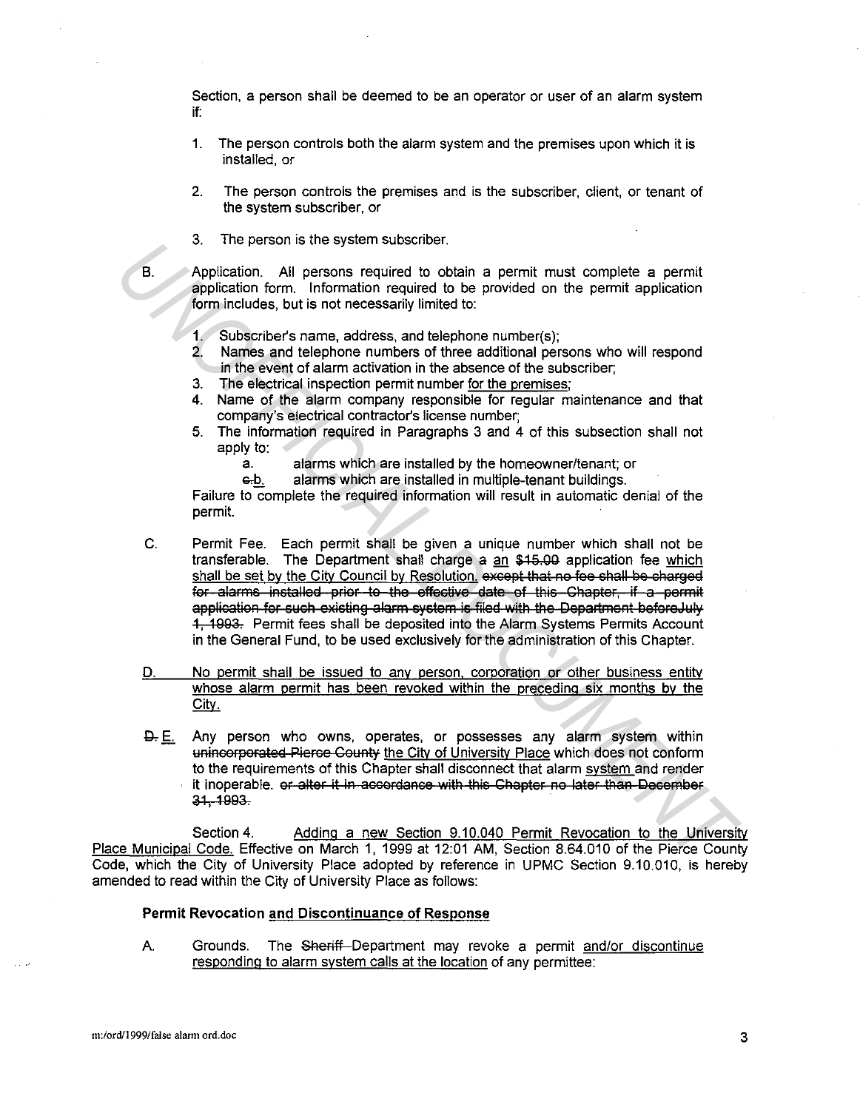Section, a person shall be deemed to be an operator or user of an alarm system if:

- 1. The person controls both the alarm system and the premises upon which it is installed, or
- 2. The person controls the premises and is the subscriber, client, or tenant of the system subscriber, or
- 3. The person is the system subscriber.

8. Application. All persons required to obtain a permit must complete a permit application form. Information required to be provided on the permit application form includes, but is not necessarily limited to:

- 1. Subscriber's name, address, and telephone number(s);
- 2. Names and telephone numbers of three additional persons who will respond in the event of alarm activation in the absence of the subscriber;
- 3. The electrical inspection permit number for the premises;
- 4. Name of the alarm company responsible for regular maintenance and that company's electrical contractor's license number;
- 5. The information required in Paragraphs 3 and 4 of this subsection shall not apply to:
	- a. alarms which are installed by the homeowner/tenant; or
	- e-b. alarms which are installed in multiple-tenant buildings.

Failure to complete the required information will result in automatic denial of the permit.

- C. Permit Fee. Each permit shall be given a unique number which shall not be transferable. The Department shall charge a an \$15.00 application fee which shall be set by the City Council by Resolution. except that no fee shall be charged for alarms installed prior to the effective date of this Chapter, if a permit application for such existing alarm system is filed with the Department beforeJuly 1, 1993. Permit fees shall be deposited into the Alarm Systems Permits Account in the General Fund, to be used exclusively for the administration of this Chapter. 3. A microsoftrain the system student to obtain a permit must complete a permit<br>application form information required to be provided on the permit application<br>form information required to be provided on the permit applica
	- D. No permit shall be issued to any person, corporation or other business entity whose alarm permit has been revoked within the preceding six months by the City.
	- $\Delta$ . E. Any person who owns, operates, or possesses any alarm system within unincorporated Pierce County the City of University Place which does not conform to the requirements of this Chapter shall disconnect that alarm system and render it inoperable. or alter it in accordance with this Chapter no later than December 31, 1993.

Section 4. Adding a new Section 9.10.040 Permit Revocation to the University Place Municipal Code. Effective on March 1, 1999 at 12:01 AM, Section 8.64.010 of the Pierce County Code, which the City of University Place adopted by reference in UPMC Section 9.10.010, is hereby amended to read within the City of University Place as follows:

## Permit Revocation and Discontinuance of Response

A. Grounds. The Sheriff Department may revoke a permit and/or discontinue responding to alarm system calls at the location of any permittee: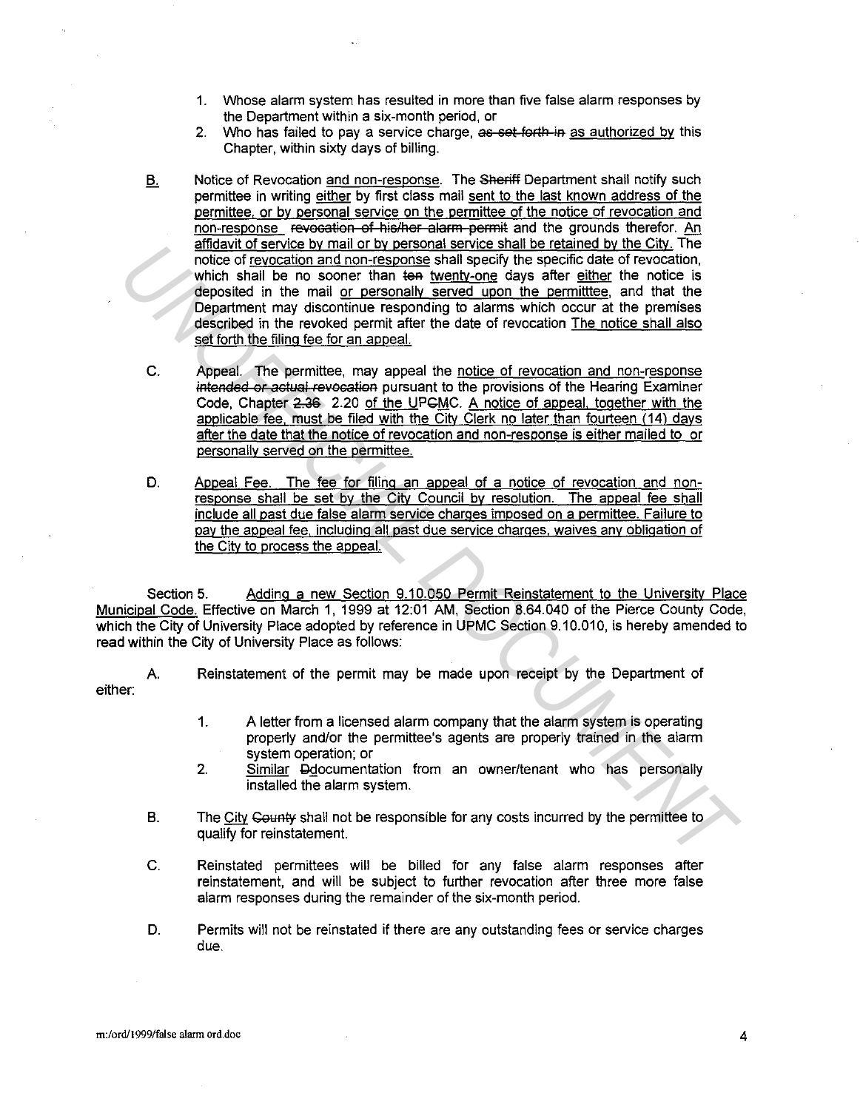- 1. Whose alarm system has resulted in more than five false alarm responses by the Department within a six-month period, or
- 2. Who has failed to pay a service charge, as set forth in as authorized by this Chapter, within sixty days of billing.
- B. Notice of Revocation and non-response. The Sheriff Department shall notify such permittee in writing either by first class mail sent to the last known address of the permittee, or by personal service on the permittee of the notice of revocation and non-response Fevecation of his/her alarm permit and the grounds therefor. An affidavit of service by mail or by personal service shall be retained by the City. The notice of revocation and non-response shall specify the specific date of revocation, which shall be no sooner than ten twenty-one days after either the notice is deposited in the mail or personally served upon the permitttee, and that the Department may discontinue responding to alarms which occur at the premises described in the revoked permit after the date of revocation The notice shall also set forth the filing fee for an appeal. **Example 10 started and an analyzing started and the line Unit Unit<br>
motion of revocation and non-response shall speed by the specific date of revocation,<br>
which shall be no sooner than the <u>hyentron</u> days after either the** 
	- C. Appeal. The permittee, may appeal the notice of revocation and non-response intended or actual revocation pursuant to the provisions of the Hearing Examiner Code, Chapter 2.36 2.20 of the UPCMC. A notice of appeal, together with the applicable fee, must be filed with the City Clerk no later than fourteen (14) days after the date that the notice of revocation and non-response is either mailed to or personally served on the permittee.
	- D. Appeal Fee. The fee for filing an appeal of a notice of revocation and nonresponse shall be set by the City Council by resolution. The appeal fee shall include all past due false alarm service charges imposed on a permittee. Failure to pay the appeal fee, including all past due service charges, waives any obligation of the City to process the appeal.

Section 5. Adding a new Section 9.10.050 Permit Reinstatement to the University Place Municipal Code. Effective on March 1, 1999 at 12:01 AM, Section 8.64.040 of the Pierce County Code, which the City of University Place adopted by reference in UPMC Section 9.10.010, is hereby amended to read within the City of University Place as follows:

either: A Reinstatement of the permit may be made upon receipt by the Department of

- 1. A letter from a licensed alarm company that the alarm system is operating properly and/or the permittee's agents are properly trained in the alarm system operation; or
- 2. Similar Ggocumentation from an owner/tenant who has personally installed the alarm system.
- B. The City County shall not be responsible for any costs incurred by the permittee to qualify for reinstatement.
- C. Reinstated permittees will be billed for any false alarm responses after reinstatement, and will be subject to further revocation after three more false alarm responses during the remainder of the six-month period.
- D. Permits will not be reinstated if there are any outstanding fees or service charges due.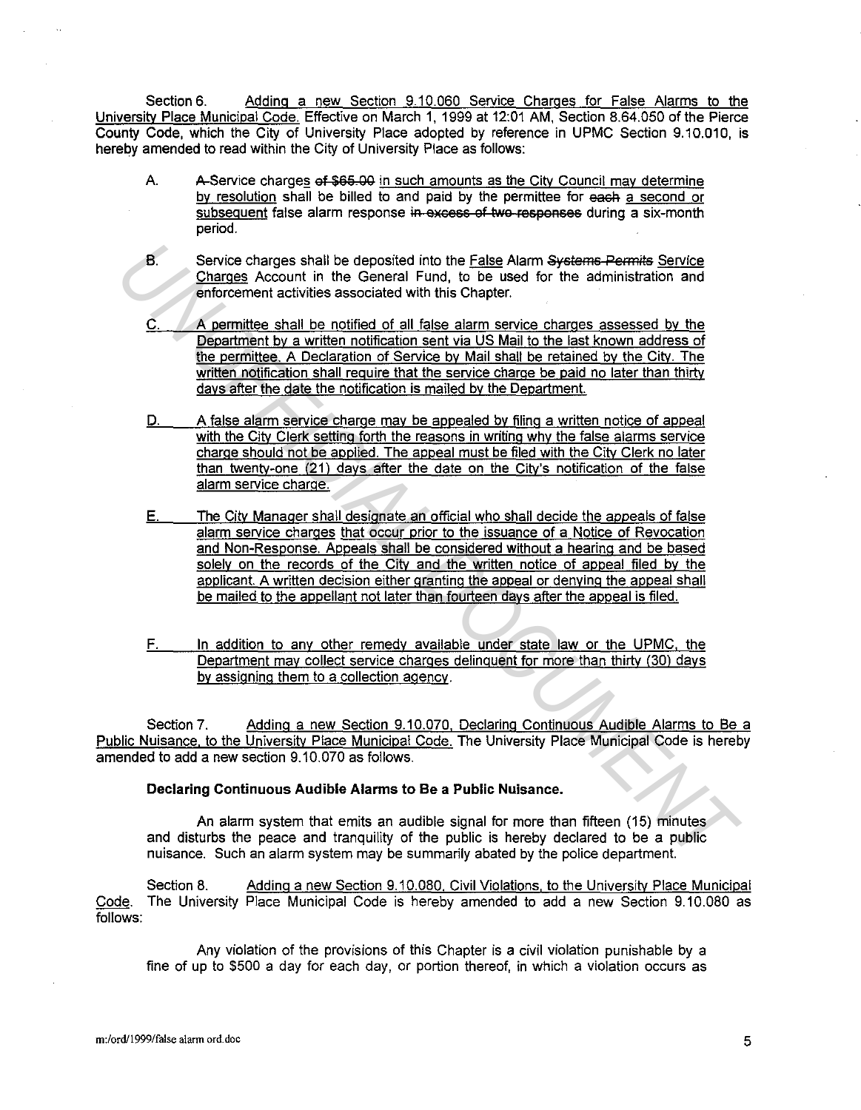Section 6. Adding a new Section 9.10.060 Service Charges for False Alarms to the University Place Municipal Code. Effective on March 1, 1999 at 12:01 AM, Section 8.64.050 of the Pierce County Code, which the City of University Place adopted by reference in UPMC Section 9.10.010, is hereby amended to read within the City of University Place as follows:

- A. A-Service charges of \$65.00 in such amounts as the City Council may determine by resolution shall be billed to and paid by the permittee for each a second or subsequent false alarm response in excess of two responses during a six-month period.
- B. Service charges shall be deposited into the False Alarm Systems Permits Service Charges Account in the General Fund, to be used for the administration and enforcement activities associated with this Chapter.
- $C.$  A permittee shall be notified of all false alarm service charges assessed by the Department by a written notification sent via US Mail to the last known address of the permittee. A Declaration of Service by Mail shall be retained by the City. The written notification shall require that the service charge be paid no later than thirty days after the date the notification is mailed by the Department.
- D. A false alarm service charge may be appealed by filing a written notice of appeal with the City Clerk setting forth the reasons in writing why the false alarms service charge should not be applied. The appeal must be filed with the City Clerk no later than twenty-one (21) days after the date on the City's notification of the false alarm service charge.
- E. The City Manager shall designate an official who shall decide the appeals of false alarm service charges that occur prior to the issuance of a Notice of Revocation and Non-Response. Appeals shall be considered without a hearing and be based solely on the records of the City and the written notice of appeal filed by the applicant. A written decision either granting the appeal or denying the appeal shall be mailed to the appellant not later than fourteen days after the appeal is filed. 8.<br>Service charges shall be deposited into the <u>False</u> Alarm Systeme-Permits <u>Service</u><br>Charges Account in the General Eurol, to be used for the administration and<br>enforcement a cultiles associated with this Chequer.<br><u>C. A </u>
	- F. In addition to any other remedy available under state law or the UPMC, the Department may collect service charges delinquent for more than thirty (30) days by assigning them to a collection agency.

Section 7. Adding a new Section 9.10.070, Declaring Continuous Audible Alarms to Be a Public Nuisance, to the University Place Municipal Code. The University Place Municipal Code is hereby amended to add a new section 9.10.070 as follows.

## **Declaring Continuous Audible Alarms to Be a Public Nuisance.**

An alarm system that emits an audible signal for more than fifteen (15) minutes and disturbs the peace and tranquility of the public is hereby declared to be a public nuisance. Such an alarm system may be summarily abated by the police department.

Section 8. Adding a new Section 9.10.080. Civil Violations, to the University Place Municipal Code. The University Place Municipal Code is hereby amended to add a new Section 9.10.080 as follows:

Any violation of the provisions of this Chapter is a civil violation punishable by a fine of up to \$500 a day for each day, or portion thereof, in which a violation occurs as